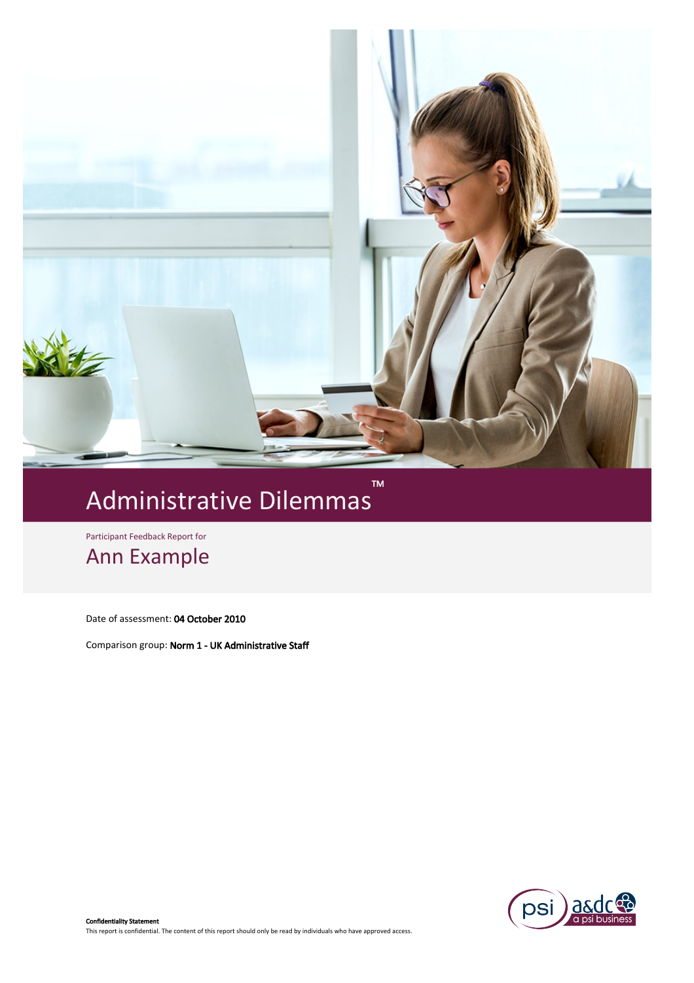

# M<br>Administrative Dilemmas

Participant Feedback Report for

Ann Example

Date of assessment: 04 October 2010

Comparison group: Norm 1 - UK Administrative Staff

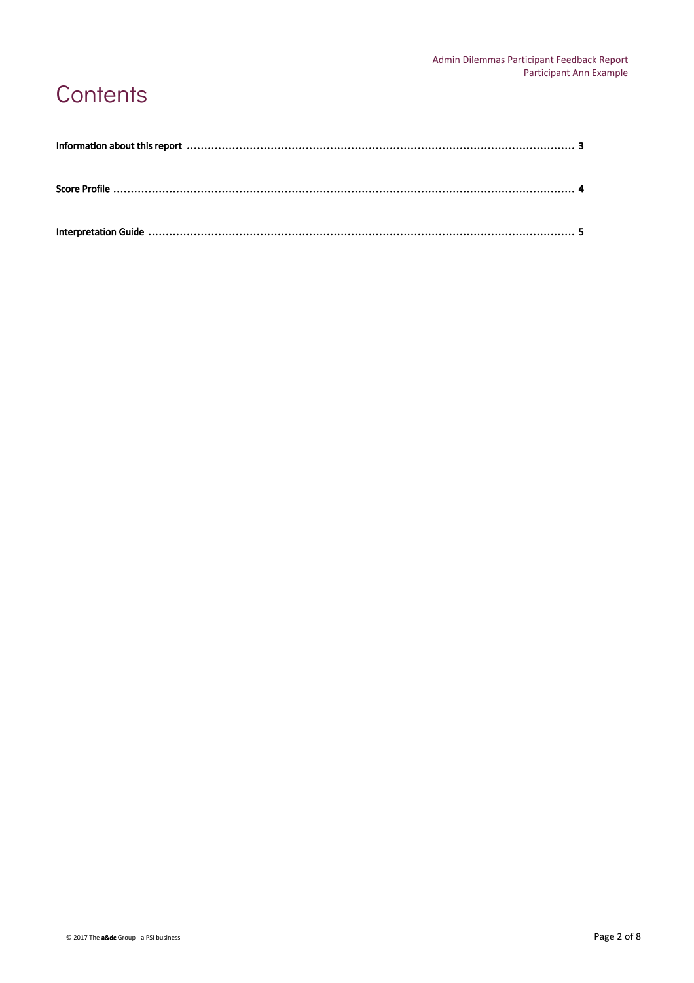## **Contents**

| Information about this report manufactured contain the control of the state of the state of the state of the state of the state of the state of the state of the state of the state of the state of the state of the state of |  |
|-------------------------------------------------------------------------------------------------------------------------------------------------------------------------------------------------------------------------------|--|
|                                                                                                                                                                                                                               |  |
|                                                                                                                                                                                                                               |  |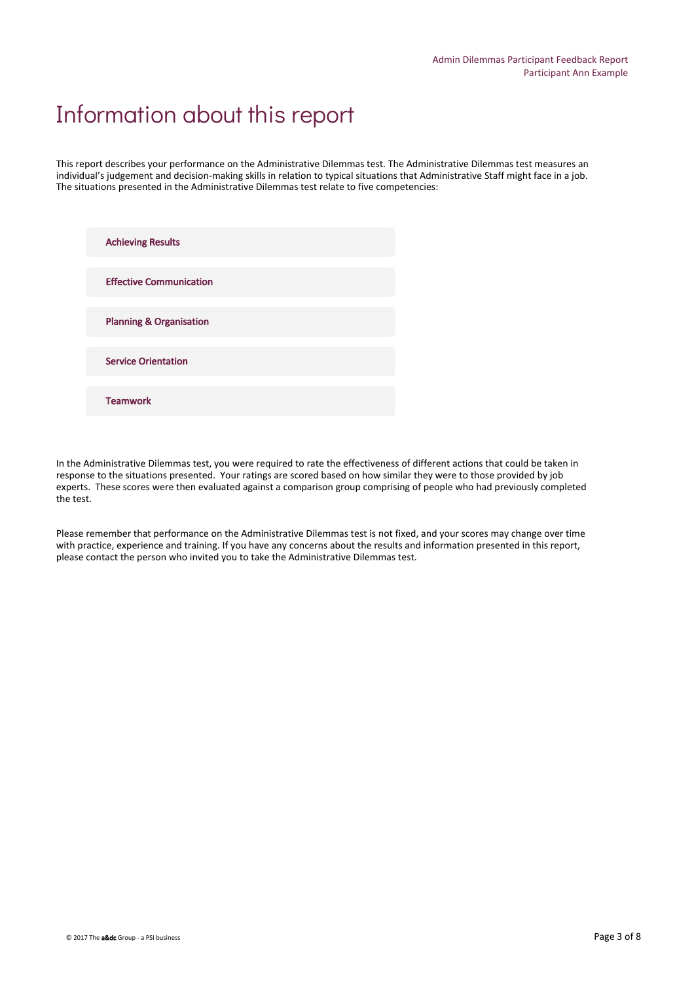### Information about this report

This report describes your performance on the Administrative Dilemmas test. The Administrative Dilemmas test measures an individual's judgement and decision-making skills in relation to typical situations that Administrative Staff might face in a job. The situations presented in the Administrative Dilemmas test relate to five competencies:

| <b>Achieving Results</b>           |  |
|------------------------------------|--|
| <b>Effective Communication</b>     |  |
| <b>Planning &amp; Organisation</b> |  |
| <b>Service Orientation</b>         |  |
| <b>Teamwork</b>                    |  |

In the Administrative Dilemmas test, you were required to rate the effectiveness of different actions that could be taken in response to the situations presented. Your ratings are scored based on how similar they were to those provided by job experts. These scores were then evaluated against a comparison group comprising of people who had previously completed the test.

Please remember that performance on the Administrative Dilemmas test is not fixed, and your scores may change over time with practice, experience and training. If you have any concerns about the results and information presented in this report, please contact the person who invited you to take the Administrative Dilemmas test.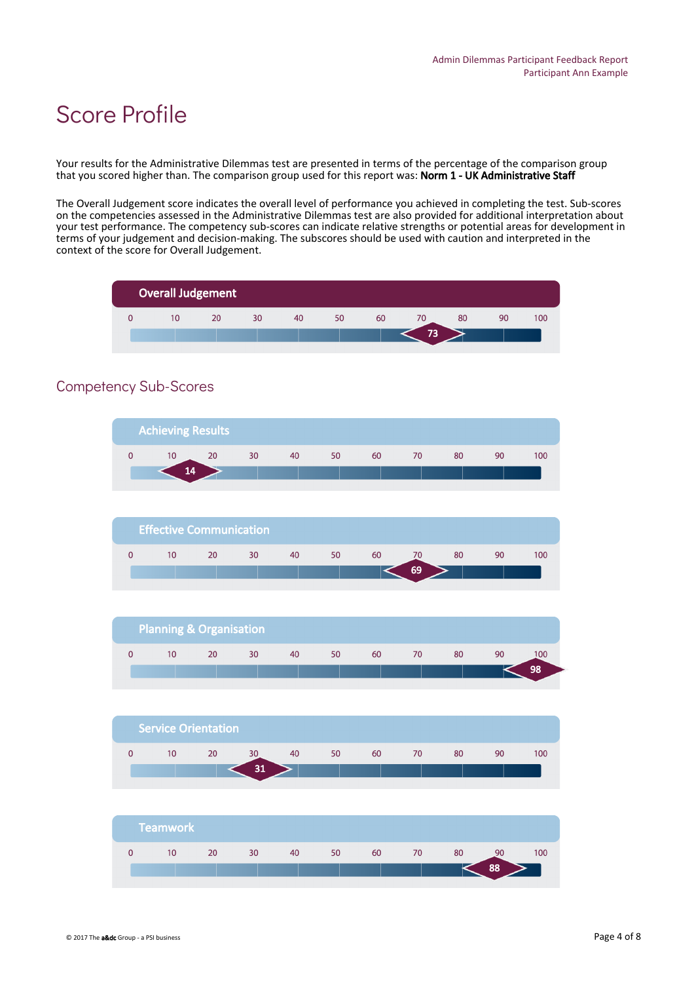### Score Profile

Your results for the Administrative Dilemmas test are presented in terms of the percentage of the comparison group that you scored higher than. The comparison group used for this report was: Norm 1 - UK Administrative Staff

The Overall Judgement score indicates the overall level of performance you achieved in completing the test. Sub-scores on the competencies assessed in the Administrative Dilemmas test are also provided for additional interpretation about your test performance. The competency sub-scores can indicate relative strengths or potential areas for development in terms of your judgement and decision-making. The subscores should be used with caution and interpreted in the context of the score for Overall Judgement.



### Competency Sub-Scores

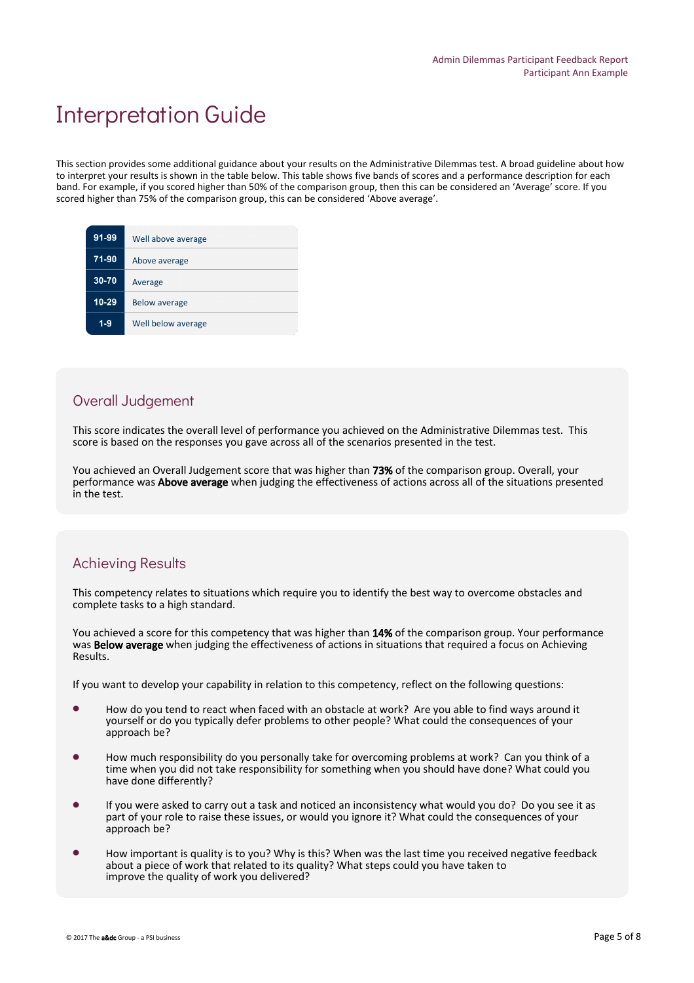### Interpretation Guide

This section provides some additional guidance about your results on the Administrative Dilemmas test. A broad guideline about how to interpret your results is shown in the table below. This table shows five bands of scores and a performance description for each band. For example, if you scored higher than 50% of the comparison group, then this can be considered an 'Average' score. If you scored higher than 75% of the comparison group, this can be considered 'Above average'.

| 91-99     | Well above average   |
|-----------|----------------------|
| 71-90     | Above average        |
| 30-70     | Average              |
| $10 - 29$ | <b>Below average</b> |
| 1-9       | Well below average   |

#### Overall Judgement

This score indicates the overall level of performance you achieved on the Administrative Dilemmas test. This score is based on the responses you gave across all of the scenarios presented in the test.

You achieved an Overall Judgement score that was higher than 73% of the comparison group. Overall, your performance was Above average when judging the effectiveness of actions across all of the situations presented in the test.

#### Achieving Results

This competency relates to situations which require you to identify the best way to overcome obstacles and complete tasks to a high standard.

You achieved a score for this competency that was higher than 14% of the comparison group. Your performance was **Below average** when judging the effectiveness of actions in situations that required a focus on Achieving Results.

If you want to develop your capability in relation to this competency, reflect on the following questions:

- How do you tend to react when faced with an obstacle at work? Are you able to find ways around it yourself or do you typically defer problems to other people? What could the consequences of your approach be?
- How much responsibility do you personally take for overcoming problems at work? Can you think of a time when you did not take responsibility for something when you should have done? What could you have done differently?
- If you were asked to carry out a task and noticed an inconsistency what would you do? Do you see it as part of your role to raise these issues, or would you ignore it? What could the consequences of your approach be?
- How important is quality is to you? Why is this? When was the last time you received negative feedback about a piece of work that related to its quality? What steps could you have taken to improve the quality of work you delivered?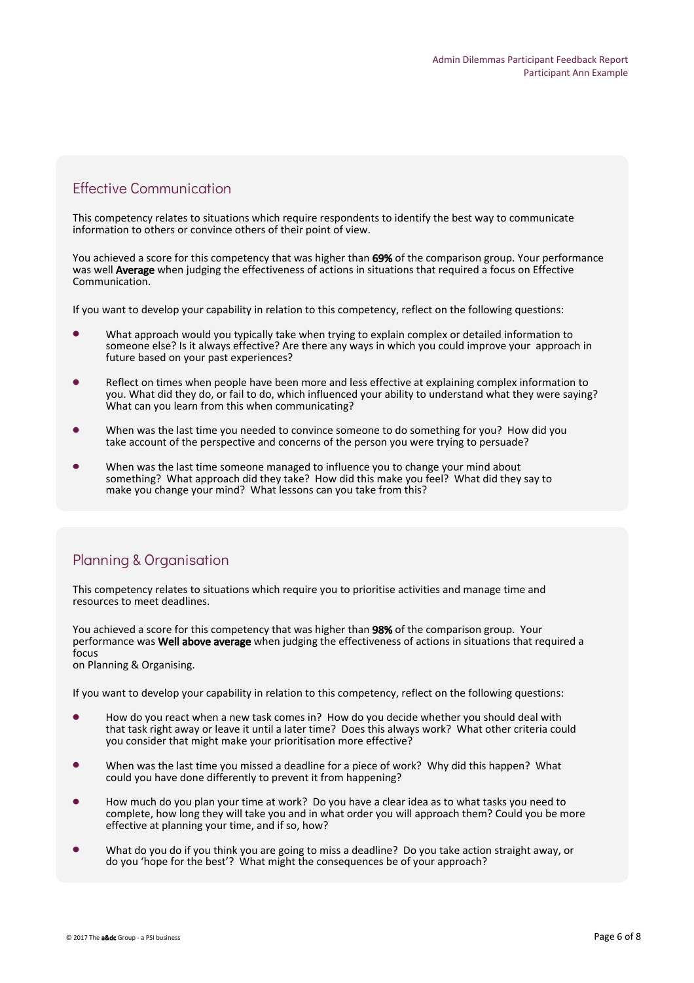#### Effective Communication

This competency relates to situations which require respondents to identify the best way to communicate information to others or convince others of their point of view.

You achieved a score for this competency that was higher than 69% of the comparison group. Your performance was well Average when judging the effectiveness of actions in situations that required a focus on Effective Communication.

If you want to develop your capability in relation to this competency, reflect on the following questions:

- What approach would you typically take when trying to explain complex or detailed information to someone else? Is it always effective? Are there any ways in which you could improve your approach in future based on your past experiences?
- Reflect on times when people have been more and less effective at explaining complex information to you. What did they do, or fail to do, which influenced your ability to understand what they were saying? What can you learn from this when communicating?
- When was the last time you needed to convince someone to do something for you? How did you take account of the perspective and concerns of the person you were trying to persuade?
- When was the last time someone managed to influence you to change your mind about something? What approach did they take? How did this make you feel? What did they say to make you change your mind? What lessons can you take from this?

#### Planning & Organisation

This competency relates to situations which require you to prioritise activities and manage time and resources to meet deadlines.

You achieved a score for this competency that was higher than 98% of the comparison group. Your performance was Well above average when judging the effectiveness of actions in situations that required a focus

on Planning & Organising.

If you want to develop your capability in relation to this competency, reflect on the following questions:

- How do you react when a new task comes in? How do you decide whether you should deal with that task right away or leave it until a later time? Does this always work? What other criteria could you consider that might make your prioritisation more effective?
- When was the last time you missed a deadline for a piece of work? Why did this happen? What could you have done differently to prevent it from happening?
- How much do you plan your time at work? Do you have a clear idea as to what tasks you need to complete, how long they will take you and in what order you will approach them? Could you be more effective at planning your time, and if so, how?
- What do you do if you think you are going to miss a deadline? Do you take action straight away, or do you 'hope for the best'? What might the consequences be of your approach?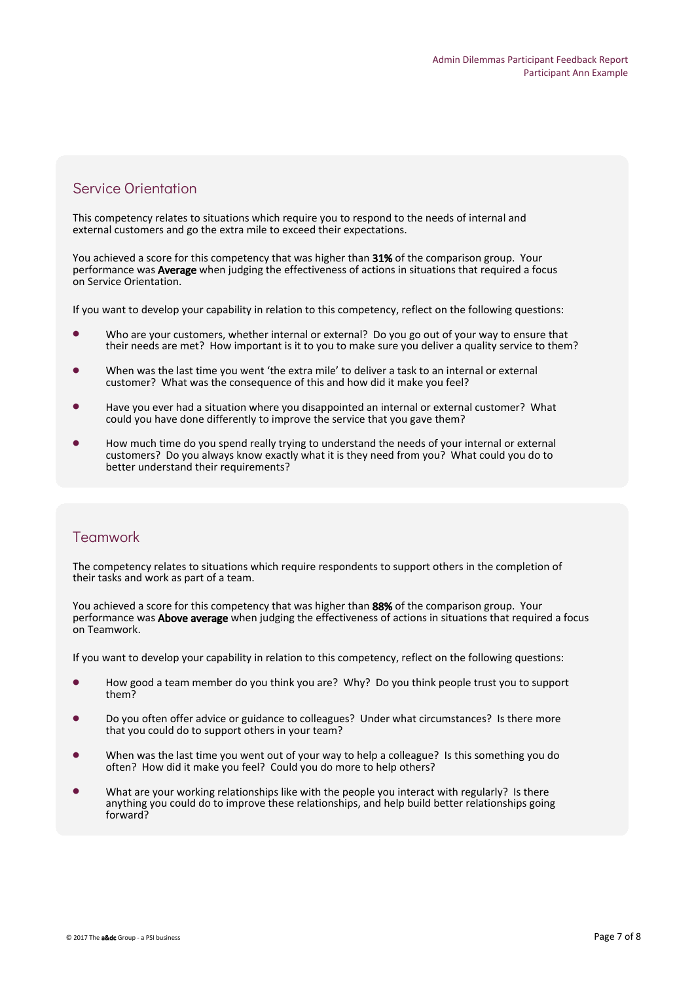#### Service Orientation

This competency relates to situations which require you to respond to the needs of internal and external customers and go the extra mile to exceed their expectations.

You achieved a score for this competency that was higher than 31% of the comparison group. Your performance was Average when judging the effectiveness of actions in situations that required a focus on Service Orientation.

If you want to develop your capability in relation to this competency, reflect on the following questions:

- Who are your customers, whether internal or external? Do you go out of your way to ensure that their needs are met? How important is it to you to make sure you deliver a quality service to them?
- When was the last time you went 'the extra mile' to deliver a task to an internal or external customer? What was the consequence of this and how did it make you feel?
- Have you ever had a situation where you disappointed an internal or external customer? What could you have done differently to improve the service that you gave them?
- How much time do you spend really trying to understand the needs of your internal or external customers? Do you always know exactly what it is they need from you? What could you do to better understand their requirements?

#### Teamwork

The competency relates to situations which require respondents to support others in the completion of their tasks and work as part of a team.

You achieved a score for this competency that was higher than 88% of the comparison group. Your performance was **Above average** when judging the effectiveness of actions in situations that required a focus on Teamwork.

If you want to develop your capability in relation to this competency, reflect on the following questions:

- How good a team member do you think you are? Why? Do you think people trust you to support them?
- Do you often offer advice or guidance to colleagues? Under what circumstances? Is there more that you could do to support others in your team?
- When was the last time you went out of your way to help a colleague? Is this something you do often? How did it make you feel? Could you do more to help others?
- What are your working relationships like with the people you interact with regularly? Is there anything you could do to improve these relationships, and help build better relationships going forward?